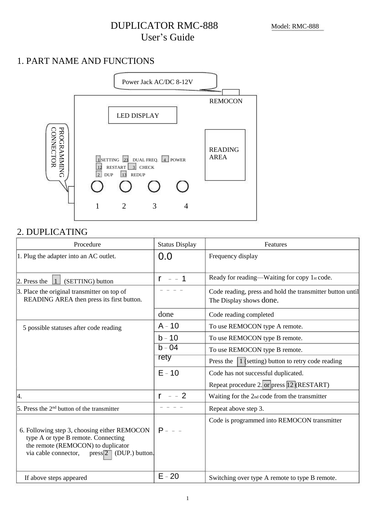## DUPLICATOR RMC-888 User's Guide

## 1. PART NAME AND FUNCTIONS



### 2. DUPLICATING

| Procedure                                                                                                                                                                   | <b>Status Display</b> | Features                                                                             |
|-----------------------------------------------------------------------------------------------------------------------------------------------------------------------------|-----------------------|--------------------------------------------------------------------------------------|
| 1. Plug the adapter into an AC outlet.                                                                                                                                      | 0.0                   | Frequency display                                                                    |
| $\vert$ 2. Press the<br>(SETTING) button<br>$\vert$ 1                                                                                                                       | $r = -1$              | Ready for reading—Waiting for copy 1st code.                                         |
| 3. Place the original transmitter on top of<br>READING AREA then press its first button.                                                                                    |                       | Code reading, press and hold the transmitter button until<br>The Display shows done. |
|                                                                                                                                                                             | done                  | Code reading completed                                                               |
| 5 possible statuses after code reading                                                                                                                                      | $A - 10$              | To use REMOCON type A remote.                                                        |
|                                                                                                                                                                             | $b - 10$              | To use REMOCON type B remote.                                                        |
|                                                                                                                                                                             | $b - 04$              | To use REMOCON type B remote.                                                        |
|                                                                                                                                                                             | rety                  | 1 (setting) button to retry code reading<br>Press the                                |
|                                                                                                                                                                             | $E - 10$              | Code has not successful duplicated.                                                  |
|                                                                                                                                                                             |                       | Repeat procedure 2. or press 12 (RESTART)                                            |
| 4.                                                                                                                                                                          | $r = -2$              | Waiting for the 2nd code from the transmitter                                        |
| 5. Press the $2nd$ button of the transmitter                                                                                                                                |                       | Repeat above step 3.                                                                 |
| 6. Following step 3, choosing either REMOCON<br>type A or type B remote. Connecting<br>the remote (REMOCON) to duplicator<br>via cable connector,<br>$press$ (DUP.) button. | $P - - -$             | Code is programmed into REMOCON transmitter                                          |
| If above steps appeared                                                                                                                                                     | $E - 20$              | Switching over type A remote to type B remote.                                       |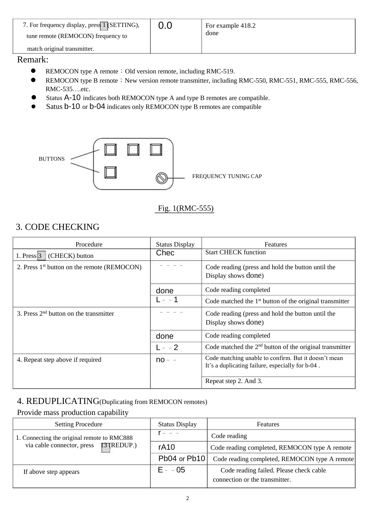| 7. For frequency display, press 1 (SETTING),<br>tune remote (REMOCON) frequency to | 0.0 | For example 418.2<br>done |
|------------------------------------------------------------------------------------|-----|---------------------------|
| match original transmitter.                                                        |     |                           |

## Remark:

- **REMOCON type A remote : Old version remote, including RMC-519.**
- REMOCON type B remote: New version remote transmitter, including RMC-550, RMC-551, RMC-555, RMC-556, RMC-535….etc.
- Status A-10 indicates both REMOCON type A and type B remotes are compatible.
- Satus b-10 or b-04 indicates only REMOCON type B remotes are compatible



### Fig. 1(RMC-555)

### 3. CODE CHECKING

| Procedure                                               | <b>Status Display</b> | Features                                                                                                 |
|---------------------------------------------------------|-----------------------|----------------------------------------------------------------------------------------------------------|
| 1. Press $3$<br>(CHECK) button                          | Chec                  | <b>Start CHECK function</b>                                                                              |
| 2. Press 1 <sup>st</sup> button on the remote (REMOCON) |                       | Code reading (press and hold the button until the<br>Display shows done)                                 |
|                                                         | done                  | Code reading completed                                                                                   |
|                                                         | $1 - 1$               | Code matched the 1 <sup>st</sup> button of the original transmitter                                      |
| 3. Press $2nd$ button on the transmitter                |                       | Code reading (press and hold the button until the<br>Display shows done)                                 |
|                                                         | done                  | Code reading completed                                                                                   |
|                                                         | $L = -2$              | Code matched the $2nd$ button of the original transmitter                                                |
| 4. Repeat step above if required                        | $no - -$              | Code matching unable to confirm. But it doesn't mean<br>It's a duplicating failure, especially for b-04. |
|                                                         |                       | Repeat step 2. And 3.                                                                                    |

#### 4. REDUPLICATING(Duplicating from REMOCON remotes)

#### Provide mass production capability

| <b>Setting Procedure</b>                    | <b>Status Display</b> | Features                                      |
|---------------------------------------------|-----------------------|-----------------------------------------------|
| 1. Connecting the original remote to RMC888 |                       | Code reading                                  |
| via cable connector, press [3] (REDUP.)     | rA <sub>10</sub>      | Code reading completed, REMOCON type A remote |
|                                             | Pb04 or Pb10          | Code reading completed, REMOCON type A remote |
| If above step appears                       | $E - -05$             | Code reading failed. Please check cable       |
|                                             |                       | connection or the transmitter.                |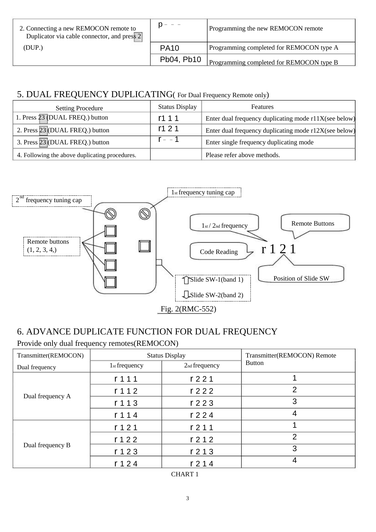| 2. Connecting a new REMOCON remote to<br>Duplicator via cable connector, and press 2 |             | Programming the new REMOCON remote       |
|--------------------------------------------------------------------------------------|-------------|------------------------------------------|
| (DUP.)                                                                               | <b>PA10</b> | Programming completed for REMOCON type A |
|                                                                                      | Pb04, Pb10  | Programming completed for REMOCON type B |

## 5. DUAL FREQUENCY DUPLICATING( For Dual Frequency Remote only)

| <b>Setting Procedure</b>                       | <b>Status Display</b> | <b>Features</b>                                       |
|------------------------------------------------|-----------------------|-------------------------------------------------------|
| 1. Press 23 (DUAL FREQ.) button                | r111                  | Enter dual frequency duplicating mode r11X(see below) |
| 2. Press 23 (DUAL FREQ.) button                | r121                  | Enter dual frequency duplicating mode r12X(see below) |
| 3. Press 23 (DUAL FREQ.) button                | $r - -1$              | Enter single frequency duplicating mode               |
| 4. Following the above duplicating procedures. |                       | Please refer above methods.                           |



# 6. ADVANCE DUPLICATE FUNCTION FOR DUAL FREQUENCY

Provide only dual frequency remotes(REMOCON)

| Transmitter(REMOCON) | <b>Status Display</b>                    |                               | Transmitter(REMOCON) Remote |
|----------------------|------------------------------------------|-------------------------------|-----------------------------|
| Dual frequency       | 1 <sub>st</sub> frequency                | 2nd frequency                 | <b>Button</b>               |
| Dual frequency A     | r 1 1 1                                  | r <sub>2</sub> 21             |                             |
|                      | r <sub>1</sub> 12                        | r <sub>2</sub> 2 <sub>2</sub> | $\overline{2}$              |
|                      | r <sub>1</sub> <sub>1</sub> <sub>3</sub> | r <sub>2</sub> 2 <sub>3</sub> | 3                           |
|                      | r <sub>1</sub> <sub>1</sub> <sub>4</sub> | r <sub>2</sub> 24             | 4                           |
| Dual frequency B     | r <sub>1</sub> 2 <sub>1</sub>            | r <sub>2</sub> 11             |                             |
|                      | r <sub>1</sub> 2 <sub>2</sub>            | r <sub>2</sub> 12             | 2                           |
|                      | r <sub>1</sub> 2 <sub>3</sub>            | r <sub>2</sub> 13             | 3                           |
|                      | r <sub>124</sub>                         | r <sub>2</sub> 14             | 4                           |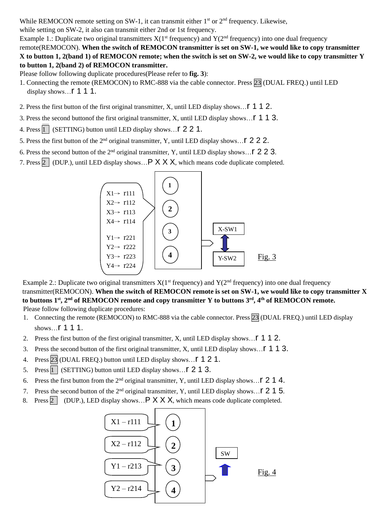While REMOCON remote setting on SW-1, it can transmit either  $1<sup>st</sup>$  or  $2<sup>nd</sup>$  frequency. Likewise,

while setting on SW-2, it also can transmit either 2nd or 1st frequency.

Example 1.: Duplicate two original transmitters  $X(1^{st}$  frequency) and  $Y(2^{nd}$  frequency) into one dual frequency remote(REMOCON). **When the switch of REMOCON transmitter is set on SW-1, we would like to copy transmitter X to button 1, 2(band 1) of REMOCON remote; when the switch is set on SW-2, we would like to copy transmitter Y to button 1, 2(band 2) of REMOCON transmitter.**

Please follow following duplicate procedures(Please refer to **fig. 3**):

- 1. Connecting the remote (REMOCON) to RMC-888 via the cable connector. Press 23 (DUAL FREQ.) until LED display shows... $\Gamma$  1 1 1.
- 2. Press the first button of the first original transmitter, X, until LED display shows...  $\Gamma$  1 1 2.
- 3. Press the second button f the first original transmitter, X, until LED display shows...  $\Gamma$  1 1 3.
- 4. Press  $\boxed{1}$  (SETTING) button until LED display shows...  $\Gamma$  2 2 1.
- 5. Press the first button of the  $2<sup>nd</sup>$  original transmitter, Y, until LED display shows...  $\Gamma$  2 2 2.
- 6. Press the second button of the  $2<sup>nd</sup>$  original transmitter, Y, until LED display shows...  $\Gamma$  2 2 3.
- 7. Press  $2 \mid$  (DUP.), until LED display shows...  $P \times X \times X$ , which means code duplicate completed.



Example 2.: Duplicate two original transmitters  $X(1^{st}$  frequency) and  $Y(2^{nd}$  frequency) into one dual frequency transmitter(REMOCON). **When the switch of REMOCON remote is set on SW-1, we would like to copy transmitter X to buttons 1st, 2nd of REMOCON remote and copy transmitter Y to buttons 3rd, 4th of REMOCON remote.** Please follow following duplicate procedures:

- 1. Connecting the remote (REMOCON) to RMC-888 via the cable connector. Press 23 (DUAL FREQ.) until LED display shows...**r** 1 1 1.
- 2. Press the first button of the first original transmitter, X, until LED display shows... **1 1 2.**
- 3. Press the second button of the first original transmitter, X, until LED display shows...  $\Gamma$  1 1 3.
- 4. Press 23 (DUAL FREQ.) button until LED display shows...  $\Gamma$  1 2 1.
- 5. Press  $\overline{1}$  (SETTING) button until LED display shows...  $\Gamma$  2 1 3.
- 6. Press the first button from the  $2<sup>nd</sup>$  original transmitter, Y, until LED display shows...  $\Gamma$  2 1 4.
- 7. Press the second button of the  $2<sup>nd</sup>$  original transmitter, Y, until LED display shows... **[215.**]
- 8. Press  $2 \mid$  (DUP.), LED display shows...  $P \times X \times X$ , which means code duplicate completed.